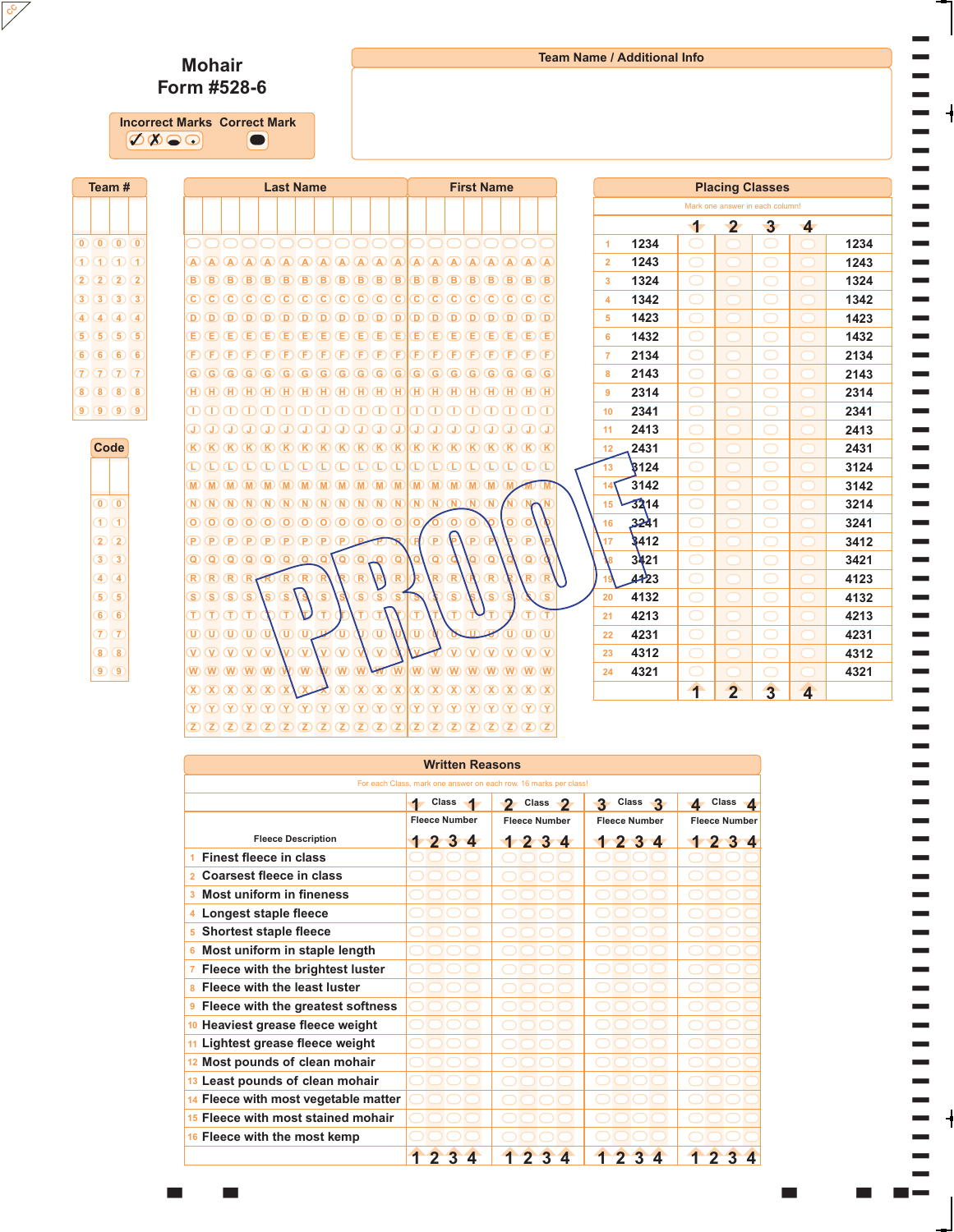## **Team Name / Additional Info**

T T T T T T T

T

T T T T T T T T T T T T T T T T T T T T T T T T

## **Mohair Form #528-6**

**CC**

 $\sigma\!\otimes\!\circledcirc$ **Incorrect Marks Correct Mark**  »

|  |                                        | Team#                                                            |  |  |  |  |                                                                                            |            |                            |            | <b>Last Name</b> |                                                 |                         |                |                               |                |                                                                                                                                                                                                                                                                                                                                                                                                                                                                                             |                         |          |                         |                                                                            |                         | <b>First Name</b>                                                                                                                                                                                                                                           |                         |                         |                             |                      |      |                |                | <b>Placing Classes</b>          |                         |      |
|--|----------------------------------------|------------------------------------------------------------------|--|--|--|--|--------------------------------------------------------------------------------------------|------------|----------------------------|------------|------------------|-------------------------------------------------|-------------------------|----------------|-------------------------------|----------------|---------------------------------------------------------------------------------------------------------------------------------------------------------------------------------------------------------------------------------------------------------------------------------------------------------------------------------------------------------------------------------------------------------------------------------------------------------------------------------------------|-------------------------|----------|-------------------------|----------------------------------------------------------------------------|-------------------------|-------------------------------------------------------------------------------------------------------------------------------------------------------------------------------------------------------------------------------------------------------------|-------------------------|-------------------------|-----------------------------|----------------------|------|----------------|----------------|---------------------------------|-------------------------|------|
|  |                                        |                                                                  |  |  |  |  |                                                                                            |            |                            |            |                  |                                                 |                         |                |                               |                |                                                                                                                                                                                                                                                                                                                                                                                                                                                                                             |                         |          |                         |                                                                            |                         |                                                                                                                                                                                                                                                             |                         |                         |                             |                      |      |                |                | Mark one answer in each column! |                         |      |
|  |                                        |                                                                  |  |  |  |  |                                                                                            |            |                            |            |                  |                                                 |                         |                |                               |                |                                                                                                                                                                                                                                                                                                                                                                                                                                                                                             |                         |          |                         |                                                                            |                         |                                                                                                                                                                                                                                                             |                         |                         |                             |                      |      | 1              | $\mathbf{2}$   | $\mathbf{3}$                    | $\blacktriangleleft$    |      |
|  |                                        | $\begin{array}{ c c c c c }\n\hline\n0 & 0 & 0 & 0\n\end{array}$ |  |  |  |  |                                                                                            |            |                            |            |                  |                                                 |                         |                |                               |                |                                                                                                                                                                                                                                                                                                                                                                                                                                                                                             |                         |          |                         |                                                                            |                         |                                                                                                                                                                                                                                                             |                         |                         |                             | $\blacktriangleleft$ | 1234 |                |                |                                 |                         | 1234 |
|  |                                        | $\bigcirc$ $\bigcirc$ $\bigcirc$ $\bigcirc$                      |  |  |  |  | $(A)$ $(A)$ $(A)$                                                                          |            | $\left( A\right)$          | (A)        | $\overline{A}$   |                                                 | (A)                     |                | $(A)$ $(A)$                   |                | $(A)$ $(A)$ $(A)$                                                                                                                                                                                                                                                                                                                                                                                                                                                                           |                         |          | $\bigwedge$ $\bigwedge$ | (A)                                                                        |                         |                                                                                                                                                                                                                                                             |                         |                         |                             | $\overline{2}$       | 1243 | $\bigcirc$     |                |                                 |                         | 1243 |
|  |                                        | 2(2(2)                                                           |  |  |  |  | $(B)$ $(B)$                                                                                | (B)        | (B)                        | (B)        | (B)              |                                                 | Œ.                      | ſΒ             | <b>B</b>                      | B              | (B)                                                                                                                                                                                                                                                                                                                                                                                                                                                                                         | <b>B</b>                | в        | <b>B</b>                |                                                                            |                         | (B                                                                                                                                                                                                                                                          | Œ.                      |                         | $(B)$ $(B)$                 | $\mathbf{3}$         | 1324 | $\bigcirc$     |                | O                               |                         | 1324 |
|  |                                        | $3)$ $3)$ $3)$ $3$                                               |  |  |  |  | $\circledcirc$ $\circledcirc$ $\circledcirc$                                               |            | $\left( \mathbf{C}\right)$ | (C)        | $\overline{C}$   |                                                 | $\circ$                 | (C)            | $\circ$                       | $\circ$        | $\circ$                                                                                                                                                                                                                                                                                                                                                                                                                                                                                     | $\overline{\mathbf{C}}$ | C)       | CC.                     | C.                                                                         | C.                      | $\left( \mathbf{C}\right)$                                                                                                                                                                                                                                  |                         |                         | $(C)$ $(C)$ $(C)$           | $\overline{4}$       | 1342 | $\bigcirc$     |                |                                 |                         | 1342 |
|  |                                        | $4)$ $4)$ $4)$ $4$                                               |  |  |  |  | $(D)$ $(D)$                                                                                | $\sqrt{D}$ | $\overline{D}$             | $\left($ D | $\overline{O}$   |                                                 | $\overline{\mathbf{D}}$ | <b>D</b>       | $\circ$                       | D              | $\overline{D}$                                                                                                                                                                                                                                                                                                                                                                                                                                                                              | $\overline{O}$          | D        | (D)                     | D                                                                          | D                       | (D)                                                                                                                                                                                                                                                         | (D)                     |                         | $(D)$ $(D)$                 | 5 <sup>5</sup>       | 1423 |                |                |                                 |                         | 1423 |
|  |                                        | 5) 5) 5) 5                                                       |  |  |  |  | $E(E)$ $E$ $E$                                                                             |            | Œ                          | Œ          | Œ                |                                                 | Œ                       | Œ              | Œ                             | Œ              | (E)                                                                                                                                                                                                                                                                                                                                                                                                                                                                                         | Œ                       | Ε        | Œ                       | Ε                                                                          | Έ                       | Œ                                                                                                                                                                                                                                                           | Œ                       |                         | $E(E)$ (E)                  | 6                    | 1432 | $\bigcirc$     |                | $\bigcirc$                      |                         | 1432 |
|  |                                        | 66666                                                            |  |  |  |  | $(F)$ $(F)$                                                                                | (F)        | Œ                          |            | Œ                |                                                 | F                       | F              | F                             | Œ              | Œ                                                                                                                                                                                                                                                                                                                                                                                                                                                                                           | Œ                       | F        |                         |                                                                            |                         | F                                                                                                                                                                                                                                                           | Œ                       |                         | $(F)$ $(F)$                 | $\overline{7}$       | 2134 | $\bigcirc$     |                | O                               |                         | 2134 |
|  |                                        | 7777                                                             |  |  |  |  | $\left($ G $\right)$ $\left($ G $\right)$ $\left($ G $\right)$                             |            |                            |            | $G$ $G$ $G$      |                                                 | (G)                     | (G)            | $\left($ G                    |                | $G$ $G$ $G$                                                                                                                                                                                                                                                                                                                                                                                                                                                                                 |                         | G        | <b>G</b>                | G)                                                                         | (G)                     | G)                                                                                                                                                                                                                                                          |                         |                         | $G$ $G$ $G$                 | 8                    | 2143 | $\bigcirc$     |                | $\bigcirc$                      |                         | 2143 |
|  |                                        | 8 8 8 8                                                          |  |  |  |  |                                                                                            |            |                            |            |                  |                                                 |                         |                |                               |                |                                                                                                                                                                                                                                                                                                                                                                                                                                                                                             |                         |          | $(H)$ $(H)$             |                                                                            | $(H)$ $(H)$             |                                                                                                                                                                                                                                                             |                         |                         | $(H)$ $(H)$ $(H)$ $(H)$     | 9                    | 2314 | $\bigcirc$     |                |                                 |                         | 2314 |
|  |                                        | 90000                                                            |  |  |  |  |                                                                                            |            |                            |            |                  |                                                 |                         |                |                               |                | $\Box\hspace{0.05cm} \Box\hspace{0.05cm} \Box\hspace{0.05cm} \Box\hspace{0.05cm} \Box\hspace{0.05cm} \Box\hspace{0.05cm} \Box\hspace{0.05cm} \Box\hspace{0.05cm} \Box\hspace{0.05cm} \Box\hspace{0.05cm} \Box\hspace{0.05cm} \Box\hspace{0.05cm} \Box$                                                                                                                                                                                                                                      |                         |          |                         |                                                                            |                         |                                                                                                                                                                                                                                                             |                         |                         | mmmm                        | 10 <sup>°</sup>      | 2341 |                |                |                                 |                         | 2341 |
|  |                                        |                                                                  |  |  |  |  |                                                                                            |            |                            |            |                  |                                                 |                         |                |                               |                | $\begin{array}{c} \textcircled{1} & \textcircled{1} & \textcircled{1} & \textcircled{1} & \textcircled{1} & \textcircled{1} \end{array}$                                                                                                                                                                                                                                                                                                                                                    |                         |          | $\sigma$                | $\bigcirc$                                                                 | $\Gamma$                |                                                                                                                                                                                                                                                             |                         |                         | $\Box$ $\Box$ $\Box$ $\Box$ | 11                   | 2413 | $\bigcirc$     |                |                                 |                         | 2413 |
|  |                                        | Code                                                             |  |  |  |  |                                                                                            |            |                            |            |                  |                                                 |                         |                |                               |                |                                                                                                                                                                                                                                                                                                                                                                                                                                                                                             |                         |          | $K$ $K$                 | (K)                                                                        | (K)                     |                                                                                                                                                                                                                                                             |                         |                         | $(K)$ $(K)$ $(K)$ $(K)$     | 12                   | 2431 | $\bigcirc$     |                | $\bigcirc$                      |                         | 2431 |
|  |                                        |                                                                  |  |  |  |  | D D D D D D D                                                                              |            |                            |            |                  |                                                 | $\mathbb{C}$            |                | Œ                             |                |                                                                                                                                                                                                                                                                                                                                                                                                                                                                                             |                         |          |                         |                                                                            |                         | D D D C                                                                                                                                                                                                                                                     |                         |                         |                             | 13                   | 8124 | $\bigcirc$     |                | $\bigcirc$                      |                         | 3124 |
|  |                                        |                                                                  |  |  |  |  | $M$ $M$                                                                                    | (M)        |                            |            |                  |                                                 |                         |                |                               |                |                                                                                                                                                                                                                                                                                                                                                                                                                                                                                             |                         | M.       |                         |                                                                            | M.                      | $\overline{M}$                                                                                                                                                                                                                                              |                         |                         |                             | 14                   | 3142 | $\bigcirc$     |                |                                 |                         | 3142 |
|  | $\overline{0}$ $\overline{0}$          |                                                                  |  |  |  |  | $\mathbb{N}$ $\mathbb{N}$ $\mathbb{N}$ $\mathbb{N}$ $\mathbb{N}$                           |            |                            |            | (N)              |                                                 | (N)                     |                | (N)                           |                | $(N)$ $(N)$ $(N)$                                                                                                                                                                                                                                                                                                                                                                                                                                                                           |                         |          |                         | $\overline{N}$ $\overline{N}$ $\overline{N}$ $\overline{N}$ $\overline{N}$ |                         |                                                                                                                                                                                                                                                             |                         |                         |                             | 15                   | 3214 | $\bigcirc$     |                | O                               |                         | 3214 |
|  | $\sigma$ $\sigma$                      |                                                                  |  |  |  |  |                                                                                            |            |                            |            |                  |                                                 |                         |                |                               |                |                                                                                                                                                                                                                                                                                                                                                                                                                                                                                             |                         | ര        | O                       | $\circledcirc$                                                             | $\overline{\mathbf{o}}$ |                                                                                                                                                                                                                                                             | $\overline{\mathbf{o}}$ | $\circ$                 |                             | 16                   | 3241 | $\bigcirc$     |                | ب                               |                         | 3241 |
|  | $2^{2}$                                |                                                                  |  |  |  |  | $(P)$ $(P)$ $(P)$ $(P)$ $(P)$ $(P)$ $(P)$ $(P)$ $(P)$                                      |            |                            |            |                  |                                                 |                         |                |                               |                |                                                                                                                                                                                                                                                                                                                                                                                                                                                                                             |                         |          | P                       |                                                                            | Þ                       |                                                                                                                                                                                                                                                             |                         | P                       |                             | 17                   | 3412 |                |                |                                 |                         | 3412 |
|  | $\overline{3}\overline{)}\overline{3}$ |                                                                  |  |  |  |  | 00000000                                                                                   |            |                            |            |                  |                                                 |                         |                | $\overline{Q}$ $\overline{Q}$ |                |                                                                                                                                                                                                                                                                                                                                                                                                                                                                                             | o                       |          | $\overline{\mathbf{Q}}$ |                                                                            |                         | Q                                                                                                                                                                                                                                                           |                         | Q                       |                             |                      | 3421 |                |                |                                 |                         | 3421 |
|  | $4)$ $4$                               |                                                                  |  |  |  |  | $R$ $R$ $R$ $R$                                                                            |            |                            |            | $R$ $R$ $R$      |                                                 |                         |                |                               | $\overline{R}$ |                                                                                                                                                                                                                                                                                                                                                                                                                                                                                             | $\overline{\mathsf{R}}$ |          | $\overline{R}$          | $\sqrt{R}$                                                                 |                         | (R)                                                                                                                                                                                                                                                         |                         | $\overline{\mathsf{R}}$ |                             |                      | 4123 | $\bigcirc$     |                | O                               |                         | 4123 |
|  | $5)$ $5$                               |                                                                  |  |  |  |  | $S(S)$ $S$ $S$                                                                             |            |                            | S)         | $\circ$          |                                                 | э                       | $\overline{S}$ |                               | $\circ$        | $\left( S\right)$                                                                                                                                                                                                                                                                                                                                                                                                                                                                           | (S)                     |          |                         | $\circ$                                                                    |                         | $\circleds$                                                                                                                                                                                                                                                 |                         |                         | GS.                         | 20                   | 4132 | $\bigcirc$     |                | $\bigcirc$                      |                         | 4132 |
|  | 66                                     |                                                                  |  |  |  |  | $(T)$ $(T)$ $(T)$ $(T)$                                                                    |            |                            |            |                  |                                                 |                         |                |                               |                |                                                                                                                                                                                                                                                                                                                                                                                                                                                                                             |                         |          |                         |                                                                            |                         |                                                                                                                                                                                                                                                             |                         |                         | CT.                         | 21                   | 4213 | $\bigcirc$     |                | ⊃                               |                         | 4213 |
|  | $\overline{7}$ $\overline{7}$          |                                                                  |  |  |  |  | $\overline{0}$ $\overline{0}$ $\overline{0}$ $\overline{0}$ $\overline{0}$                 |            |                            |            |                  | $\overline{w}$                                  |                         |                |                               |                | $\overline{\mathbb{U}}$                                                                                                                                                                                                                                                                                                                                                                                                                                                                     |                         | τ        |                         |                                                                            |                         |                                                                                                                                                                                                                                                             |                         |                         | $\sigma$                    | 22                   | 4231 | $\bigcirc$     |                | $\bigcirc$                      |                         | 4231 |
|  | $\odot$ $\odot$                        |                                                                  |  |  |  |  | $\overline{V}$ $\overline{V}$ $\overline{V}$ $\overline{V}$ $\overline{V}$                 |            |                            |            |                  | $\overline{\mathbf{V}}$ $\overline{\mathbf{V}}$ |                         |                | $\overline{V}$ $\overline{V}$ |                | $\overline{\mathbf{v}}$                                                                                                                                                                                                                                                                                                                                                                                                                                                                     |                         |          |                         |                                                                            |                         | $\overline{V}$ $\overline{V}$ $\overline{V}$ $\overline{V}$ $\overline{V}$ $\overline{V}$                                                                                                                                                                   |                         |                         |                             | 23                   | 4312 | $\bigcirc$     |                |                                 |                         | 4312 |
|  | $\odot$ $\odot$                        |                                                                  |  |  |  |  | $\mathbb{W}$ $\mathbb{W}$ $\mathbb{W}$ $\mathbb{W}$ $\mathbb{W}$ $\mathbb{W}$ $\mathbb{W}$ |            |                            |            |                  |                                                 |                         |                |                               |                | WWWWW                                                                                                                                                                                                                                                                                                                                                                                                                                                                                       |                         |          |                         |                                                                            |                         | <b>W W W W W W W W</b>                                                                                                                                                                                                                                      |                         |                         |                             | 24                   | 4321 |                |                |                                 |                         | 4321 |
|  |                                        |                                                                  |  |  |  |  | $(X)$ $(X)$ $(X)$ $(X)$                                                                    |            |                            |            |                  |                                                 |                         |                |                               |                |                                                                                                                                                                                                                                                                                                                                                                                                                                                                                             |                         |          |                         |                                                                            |                         |                                                                                                                                                                                                                                                             |                         |                         |                             |                      |      | $\overline{1}$ | $\overline{2}$ | $\overline{3}$                  | $\overline{\mathbf{4}}$ |      |
|  |                                        |                                                                  |  |  |  |  |                                                                                            |            |                            |            |                  |                                                 |                         |                |                               |                | $\circledcirc$ $\circledcirc$ $\circledcirc$ $\circledcirc$ $\circledcirc$ $\circledcirc$ $\circledcirc$ $\circledcirc$ $\circledcirc$ $\circledcirc$ $\circledcirc$ $\circledcirc$ $\circledcirc$ $\circledcirc$ $\circledcirc$ $\circledcirc$ $\circledcirc$ $\circledcirc$ $\circledcirc$ $\circledcirc$ $\circledcirc$ $\circledcirc$ $\circledcirc$ $\circledcirc$ $\circledcirc$ $\circledcirc$ $\circledcirc$ $\circledcirc$ $\circledcirc$ $\circledcirc$ $\circledcirc$ $\circled$ |                         | $\infty$ | (Y)                     | $\overline{(\mathbf{Y})}$                                                  | (Y)                     |                                                                                                                                                                                                                                                             |                         |                         | (Y)(Y)(Y)(Y)                |                      |      |                |                |                                 |                         |      |
|  |                                        |                                                                  |  |  |  |  |                                                                                            |            |                            |            |                  |                                                 |                         |                |                               |                |                                                                                                                                                                                                                                                                                                                                                                                                                                                                                             |                         |          |                         |                                                                            |                         | $\boxed{2}$ $\boxed{2}$ $\boxed{2}$ $\boxed{2}$ $\boxed{2}$ $\boxed{2}$ $\boxed{2}$ $\boxed{2}$ $\boxed{2}$ $\boxed{2}$ $\boxed{2}$ $\boxed{2}$ $\boxed{2}$ $\boxed{2}$ $\boxed{2}$ $\boxed{2}$ $\boxed{2}$ $\boxed{2}$ $\boxed{2}$ $\boxed{2}$ $\boxed{2}$ |                         |                         |                             |                      |      |                |                |                                 |                         |      |

| <b>Written Reasons</b>                             |                       |                                                                  |                      |                                       |  |  |  |  |  |  |  |  |
|----------------------------------------------------|-----------------------|------------------------------------------------------------------|----------------------|---------------------------------------|--|--|--|--|--|--|--|--|
|                                                    |                       | For each Class, mark one answer on each row. 16 marks per class! |                      |                                       |  |  |  |  |  |  |  |  |
|                                                    | Class<br>4            | Class -<br>$\mathbf{P}$                                          | 3 Class 3            | Class $\triangle$<br>$\blacktriangle$ |  |  |  |  |  |  |  |  |
|                                                    | <b>Fleece Number</b>  | <b>Fleece Number</b>                                             | <b>Fleece Number</b> | <b>Fleece Number</b>                  |  |  |  |  |  |  |  |  |
| <b>Fleece Description</b>                          | 1234                  | 1234                                                             | 234                  | 234                                   |  |  |  |  |  |  |  |  |
| <b>Finest fleece in class</b><br>4.                |                       |                                                                  |                      |                                       |  |  |  |  |  |  |  |  |
| Coarsest fleece in class<br>$\mathbf{p}$           |                       |                                                                  |                      |                                       |  |  |  |  |  |  |  |  |
| Most uniform in fineness<br>$\mathbf{3}$           |                       |                                                                  |                      |                                       |  |  |  |  |  |  |  |  |
| Longest staple fleece<br>4                         |                       |                                                                  |                      |                                       |  |  |  |  |  |  |  |  |
| <b>Shortest staple fleece</b><br>5.                |                       |                                                                  |                      |                                       |  |  |  |  |  |  |  |  |
| Most uniform in staple length<br>6                 |                       |                                                                  |                      |                                       |  |  |  |  |  |  |  |  |
| Fleece with the brightest luster<br>$\overline{7}$ |                       |                                                                  |                      |                                       |  |  |  |  |  |  |  |  |
| Fleece with the least luster<br>8                  |                       |                                                                  |                      |                                       |  |  |  |  |  |  |  |  |
| Fleece with the greatest softness<br>9             |                       |                                                                  |                      |                                       |  |  |  |  |  |  |  |  |
| 10 Heaviest grease fleece weight                   |                       |                                                                  |                      |                                       |  |  |  |  |  |  |  |  |
| 11 Lightest grease fleece weight                   |                       |                                                                  |                      |                                       |  |  |  |  |  |  |  |  |
| 12 Most pounds of clean mohair                     |                       |                                                                  |                      |                                       |  |  |  |  |  |  |  |  |
| 13 Least pounds of clean mohair                    |                       |                                                                  |                      |                                       |  |  |  |  |  |  |  |  |
| 14 Fleece with most vegetable matter               |                       |                                                                  |                      |                                       |  |  |  |  |  |  |  |  |
| 15 Fleece with most stained mohair                 |                       |                                                                  |                      |                                       |  |  |  |  |  |  |  |  |
| 16 Fleece with the most kemp                       |                       |                                                                  |                      |                                       |  |  |  |  |  |  |  |  |
|                                                    | $\blacktriangle$<br>3 | $\mathbf 4$<br>3                                                 | $\mathbf 4$<br>3     | 3                                     |  |  |  |  |  |  |  |  |

<sup>T</sup> | | | | |T